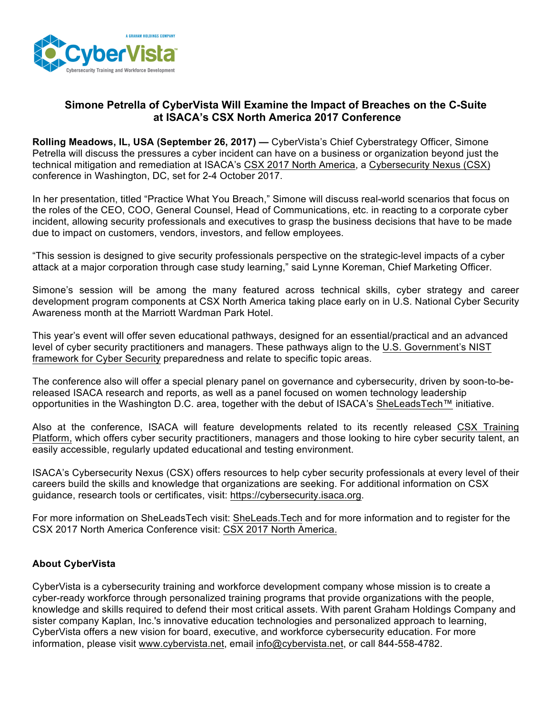

## **Simone Petrella of CyberVista Will Examine the Impact of Breaches on the C-Suite at ISACA's CSX North America 2017 Conference**

**Rolling Meadows, IL, USA (September 26, 2017) —** CyberVista's Chief Cyberstrategy Officer, Simone Petrella will discuss the pressures a cyber incident can have on a business or organization beyond just the technical mitigation and remediation at ISACA's [CSX 2017 North America](http://www.isaca.org/csx-north-america?cid=pr_1223764&appeal=pr), a [Cybersecurity Nexus \(CSX\)](https://cybersecurity.isaca.org/?cid=pr_1223764&appeal=pr) conference in Washington, DC, set for 2-4 October 2017.

In her presentation, titled "Practice What You Breach," Simone will discuss real-world scenarios that focus on the roles of the CEO, COO, General Counsel, Head of Communications, etc. in reacting to a corporate cyber incident, allowing security professionals and executives to grasp the business decisions that have to be made due to impact on customers, vendors, investors, and fellow employees.

"This session is designed to give security professionals perspective on the strategic-level impacts of a cyber attack at a major corporation through case study learning," said Lynne Koreman, Chief Marketing Officer.

Simone's session will be among the many featured across technical skills, cyber strategy and career development program components at CSX North America taking place early on in U.S. National Cyber Security Awareness month at the Marriott Wardman Park Hotel.

This year's event will offer seven educational pathways, designed for an essential/practical and an advanced level of cyber security practitioners and managers. These pathways align to the [U.S. Government's NIST](https://www.nist.gov/cyberframework) [framework for Cyber Security](https://www.nist.gov/cyberframework) preparedness and relate to specific topic areas.

The conference also will offer a special plenary panel on governance and cybersecurity, driven by soon-to-bereleased ISACA research and reports, as well as a panel focused on women technology leadership opportunities in the Washington D.C. area, together with the debut of ISACA's [SheLeadsTech™](https://www.sheleads.tech/) initiative.

Also at the conference, ISACA will feature developments related to its recently released [CSX Training](https://cybersecurity.isaca.org/csx-nexus?cid=pr_1223764&appeal=pr) [Platform](https://cybersecurity.isaca.org/csx-nexus?cid=pr_1223764&appeal=pr), which offers cyber security practitioners, managers and those looking to hire cyber security talent, an easily accessible, regularly updated educational and testing environment.

ISACA's Cybersecurity Nexus (CSX) offers resources to help cyber security professionals at every level of their careers build the skills and knowledge that organizations are seeking. For additional information on CSX guidance, research tools or certificates, visit: [https://cybersecurity.isaca.org](https://cybersecurity.isaca.org/?cid=pr_1223764&appeal=pr).

For more information on SheLeadsTech visit: [SheLeads.Tech](https://www.sheleads.tech/) and for more information and to register for the CSX 2017 North America Conference visit: [CSX 2017 North America](https://cybersecurity.isaca.org/info/2017-csx-north-america-conference/index.html?cid=edmi_1224123&appeal=edmi).

## **About CyberVista**

CyberVista is a cybersecurity training and workforce development company whose mission is to create a cyber-ready workforce through personalized training programs that provide organizations with the people, knowledge and skills required to defend their most critical assets. With parent Graham Holdings Company and sister company Kaplan, Inc.'s innovative education technologies and personalized approach to learning, CyberVista offers a new vision for board, executive, and workforce cybersecurity education. For more information, please visit [www.cybervista.net](http://www.cybervista.net/), email [info@cybervista.net](mailto:info@cybervista.net), or call 844-558-4782.